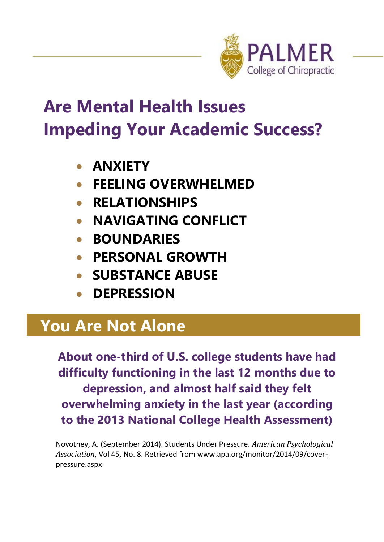

# **Are Mental Health Issues Impeding Your Academic Success?**

- **ANXIETY**
- **FEELING OVERWHELMED**
- **RELATIONSHIPS**
- **NAVIGATING CONFLICT**
- **BOUNDARIES**
- **PERSONAL GROWTH**
- **SUBSTANCE ABUSE**
- **DEPRESSION**

## **You Are Not Alone**

**About one-third of U.S. college students have had difficulty functioning in the last 12 months due to depression, and almost half said they felt overwhelming anxiety in the last year (according to the 2013 National College Health Assessment)**

Novotney, A. (September 2014). Students Under Pressure. *American Psychological Association*, Vol 45, No. 8. Retrieved fro[m www.apa.org/monitor/2014/09/cover](http://www.apa.org/monitor/2014/09/cover-pressure.aspx)[pressure.aspx](http://www.apa.org/monitor/2014/09/cover-pressure.aspx)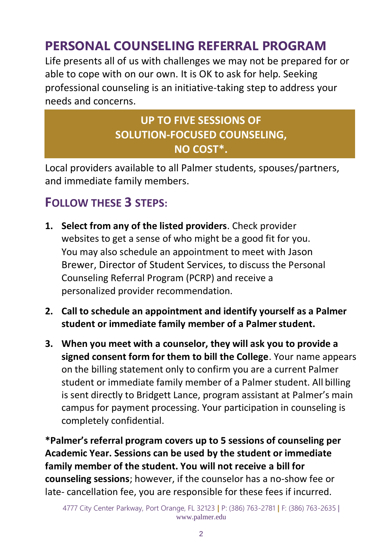### **PERSONAL COUNSELING REFERRAL PROGRAM**

Life presents all of us with challenges we may not be prepared for or able to cope with on our own. It is OK to ask for help. Seeking professional counseling is an initiative-taking step to address your needs and concerns.

#### **UP TO FIVE SESSIONS OF SOLUTION-FOCUSED COUNSELING, NO COST\*.**

Local providers available to all Palmer students, spouses/partners, and immediate family members.

#### **FOLLOW THESE 3 STEPS:**

- **1. Select from any of the listed providers**. Check provider websites to get a sense of who might be a good fit for you. You may also schedule an appointment to meet with Jason Brewer, Director of Student Services, to discuss the Personal Counseling Referral Program (PCRP) and receive a personalized provider recommendation.
- **2. Call to schedule an appointment and identify yourself as a Palmer**  student or immediate family member of a Palmer student.
- **3. When you meet with a counselor, they will ask you to provide a signed consent form for them to bill the College**. Your name appears on the billing statement only to confirm you are a current Palmer student or immediate family member of a Palmer student. All billing is sent directly to Bridgett Lance, program assistant at Palmer's main campus for payment processing. Your participation in counseling is completely confidential.

**\*Palmer's referral program covers up to 5 sessions of counseling per Academic Year. Sessions can be used by the student or immediate family member of the student. You will not receive a bill for counseling sessions**; however, if the counselor has a no-show fee or late- cancellation fee, you are responsible for these fees if incurred.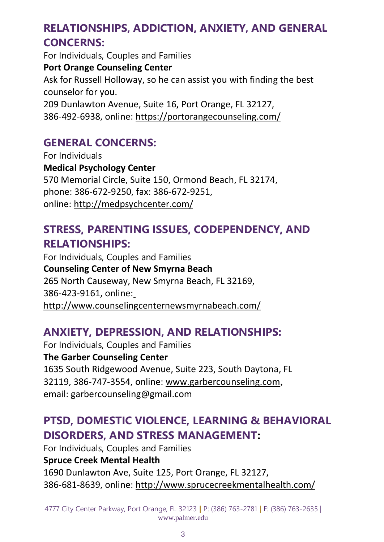#### **RELATIONSHIPS, ADDICTION, ANXIETY, AND GENERAL CONCERNS:**

For Individuals, Couples and Families **Port Orange Counseling Center** Ask for Russell Holloway, so he can assist you with finding the best counselor for you. 209 Dunlawton Avenue, Suite 16, Port Orange, FL 32127, 386-492-6938, online[: https://portorangecounseling.com/](https://portorangecounseling.com/)

#### **GENERAL CONCERNS:**

For Individuals **Medical Psychology Center** 570 Memorial Circle, Suite 150, Ormond Beach, FL 32174, phone: 386-672-9250, fax: 386-672-9251, online:<http://medpsychcenter.com/>

#### **STRESS, PARENTING ISSUES, CODEPENDENCY, AND RELATIONSHIPS:**

For Individuals, Couples and Families **Counseling Center of New Smyrna Beach** 265 North Causeway, New Smyrna Beach, FL 32169, 386-423-9161, online[:](http://www.counselingcenternewsmyrnabeach.com/) <http://www.counselingcenternewsmyrnabeach.com/>

#### **ANXIETY, DEPRESSION, AND RELATIONSHIPS:**

For Individuals, Couples and Families **The Garber Counseling Center** 1635 South Ridgewood Avenue, Suite 223, South Daytona, FL 32119, 386-747-3554, online: [www.garbercounseling.com](http://www.garbercounseling.com/)[,](http://www.garbercounseling.com/) email[: garbercounseling@gmail.com](mailto:garbercounseling@gmail.com)

#### **PTSD, DOMESTIC VIOLENCE, LEARNING & BEHAVIORAL DISORDERS, AND STRESS MANAGEMENT:**

For Individuals, Couples and Families **Spruce Creek Mental Health** 1690 Dunlawton Ave, Suite 125, Port Orange, FL 32127, 386-681-8639, online[: http://www.sprucecreekmentalhealth.com/](http://www.sprucecreekmentalhealth.com/)

4777 City Center Parkway, Port Orange, FL 32123 **|** P: (386) 763-2781 **|** F: (386) 763-2635 | [www.palmer.edu](http://www.palmer.edu/)